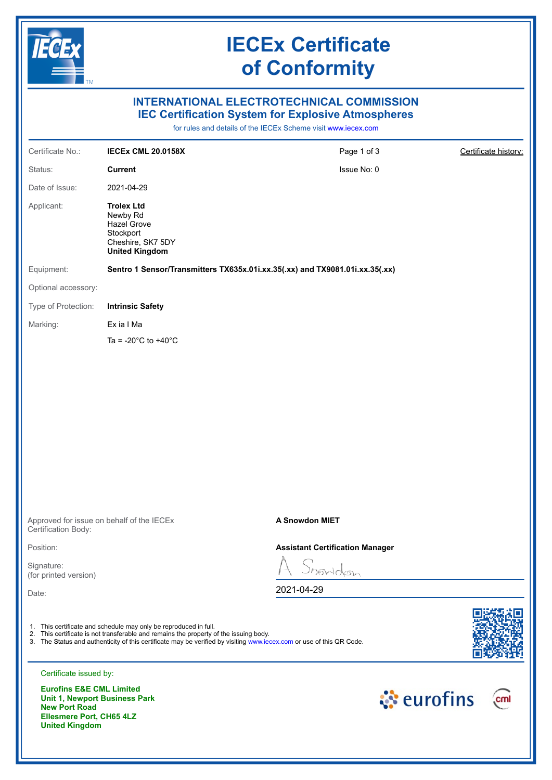

**Ellesmere Port, CH65 4LZ** 

**United Kingdom**

## **IECEx Certificate of Conformity**

## **INTERNATIONAL ELECTROTECHNICAL COMMISSION IEC Certification System for Explosive Atmospheres**

for rules and details of the IECEx Scheme visit [www.iecex.com](https://www.iecex.com)

| Certificate No.:                                            | <b>IECEx CML 20.0158X</b>                                                                                                                                                                                                                                                         | Page 1 of 3                            | Certificate history: |
|-------------------------------------------------------------|-----------------------------------------------------------------------------------------------------------------------------------------------------------------------------------------------------------------------------------------------------------------------------------|----------------------------------------|----------------------|
| Status:                                                     | <b>Current</b>                                                                                                                                                                                                                                                                    | Issue No: 0                            |                      |
| Date of Issue:                                              | 2021-04-29                                                                                                                                                                                                                                                                        |                                        |                      |
| Applicant:                                                  | <b>Trolex Ltd</b><br>Newby Rd<br><b>Hazel Grove</b><br>Stockport<br>Cheshire, SK7 5DY<br><b>United Kingdom</b>                                                                                                                                                                    |                                        |                      |
| Equipment:                                                  | Sentro 1 Sensor/Transmitters TX635x.01i.xx.35(.xx) and TX9081.01i.xx.35(.xx)                                                                                                                                                                                                      |                                        |                      |
| Optional accessory:                                         |                                                                                                                                                                                                                                                                                   |                                        |                      |
| Type of Protection:                                         | <b>Intrinsic Safety</b>                                                                                                                                                                                                                                                           |                                        |                      |
| Marking:                                                    | Ex ia I Ma                                                                                                                                                                                                                                                                        |                                        |                      |
|                                                             | Ta = -20 $^{\circ}$ C to +40 $^{\circ}$ C                                                                                                                                                                                                                                         |                                        |                      |
|                                                             |                                                                                                                                                                                                                                                                                   |                                        |                      |
|                                                             |                                                                                                                                                                                                                                                                                   |                                        |                      |
|                                                             |                                                                                                                                                                                                                                                                                   |                                        |                      |
|                                                             |                                                                                                                                                                                                                                                                                   |                                        |                      |
|                                                             |                                                                                                                                                                                                                                                                                   |                                        |                      |
|                                                             |                                                                                                                                                                                                                                                                                   |                                        |                      |
|                                                             |                                                                                                                                                                                                                                                                                   |                                        |                      |
|                                                             |                                                                                                                                                                                                                                                                                   |                                        |                      |
| Certification Body:                                         | Approved for issue on behalf of the IECEx                                                                                                                                                                                                                                         | A Snowdon MIET                         |                      |
| Position:                                                   |                                                                                                                                                                                                                                                                                   | <b>Assistant Certification Manager</b> |                      |
| Signature:<br>(for printed version)                         |                                                                                                                                                                                                                                                                                   | nowldon                                |                      |
| Date:                                                       |                                                                                                                                                                                                                                                                                   | 2021-04-29                             |                      |
|                                                             |                                                                                                                                                                                                                                                                                   |                                        |                      |
|                                                             | 1. This certificate and schedule may only be reproduced in full.<br>2. This certificate is not transferable and remains the property of the issuing body.<br>3. The Status and authenticity of this certificate may be verified by visiting www.iecex.com or use of this QR Code. |                                        |                      |
| Certificate issued by:                                      |                                                                                                                                                                                                                                                                                   |                                        |                      |
| <b>Eurofins E&amp;E CML Limited</b><br><b>New Port Road</b> | Unit 1, Newport Business Park                                                                                                                                                                                                                                                     |                                        | ं eurofins<br>cml    |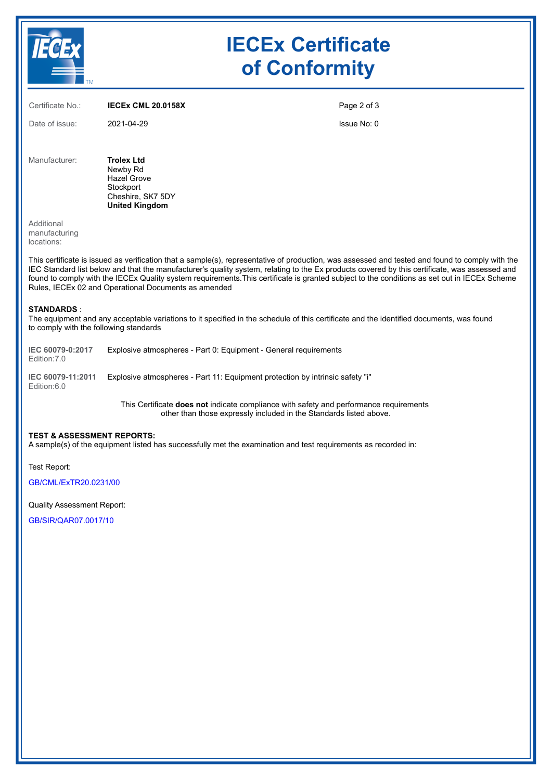| <b>TM</b>                                 |                                                                                                                | <b>IECEx Certificate</b><br>of Conformity |  |
|-------------------------------------------|----------------------------------------------------------------------------------------------------------------|-------------------------------------------|--|
| Certificate No.:                          | <b>IECEX CML 20.0158X</b>                                                                                      | Page 2 of 3                               |  |
| Date of issue:                            | 2021-04-29                                                                                                     | Issue No: 0                               |  |
| Manufacturer:                             | <b>Trolex Ltd</b><br>Newby Rd<br><b>Hazel Grove</b><br>Stockport<br>Cheshire, SK7 5DY<br><b>United Kingdom</b> |                                           |  |
| Additional<br>manufacturing<br>locations: |                                                                                                                |                                           |  |

This certificate is issued as verification that a sample(s), representative of production, was assessed and tested and found to comply with the IEC Standard list below and that the manufacturer's quality system, relating to the Ex products covered by this certificate, was assessed and found to comply with the IECEx Quality system requirements.This certificate is granted subject to the conditions as set out in IECEx Scheme Rules, IECEx 02 and Operational Documents as amended

#### **STANDARDS** :

The equipment and any acceptable variations to it specified in the schedule of this certificate and the identified documents, was found to comply with the following standards

| IEC 60079-0:2017<br>Edition: 7.0 | Explosive atmospheres - Part 0: Equipment - General requirements              |
|----------------------------------|-------------------------------------------------------------------------------|
| IEC 60079-11:2011                | Explosive atmospheres - Part 11: Equipment protection by intrinsic safety "i" |

Edition:6.0

This Certificate **does not** indicate compliance with safety and performance requirements other than those expressly included in the Standards listed above.

#### **TEST & ASSESSMENT REPORTS:**

A sample(s) of the equipment listed has successfully met the examination and test requirements as recorded in:

Test Report:

[GB/CML/ExTR20.0231/00](https://www.iecex-certs.com/deliverables/REPORT/69284/view)

Quality Assessment Report:

[GB/SIR/QAR07.0017/10](https://www.iecex-certs.com/deliverables/REPORT/70034/view)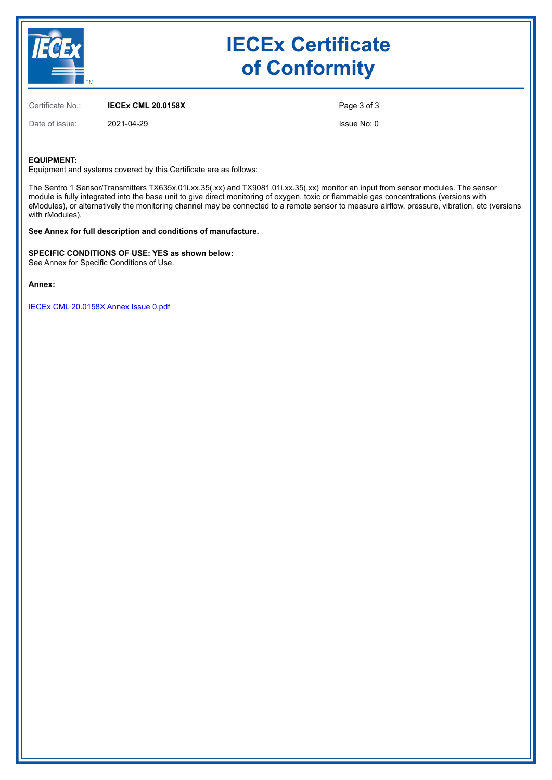

# **IECEx Certificate of Conformity**

Certificate No.: **IECEx CML 20.0158X**

Date of issue: 2021-04-29

Page 3 of 3

Issue No: 0

#### **EQUIPMENT:**

Equipment and systems covered by this Certificate are as follows:

The Sentro 1 Sensor/Transmitters TX635x.01i.xx.35(.xx) and TX9081.01i.xx.35(.xx) monitor an input from sensor modules. The sensor module is fully integrated into the base unit to give direct monitoring of oxygen, toxic or flammable gas concentrations (versions with eModules), or alternatively the monitoring channel may be connected to a remote sensor to measure airflow, pressure, vibration, etc (versions with rModules).

**See Annex for full description and conditions of manufacture.**

**SPECIFIC CONDITIONS OF USE: YES as shown below:** See Annex for Specific Conditions of Use.

**Annex:**

[IECEx CML 20.0158X Annex Issue 0.pdf](https://www.iecex-certs.com/deliverables/CERT/50946/view)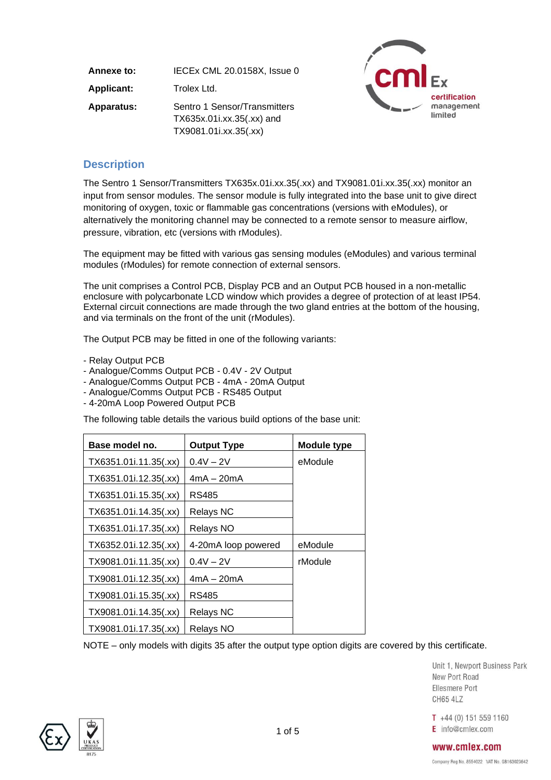| Annexe to:        | IECEx CML 20.0158X, Issue 0                                                        |  |
|-------------------|------------------------------------------------------------------------------------|--|
| <b>Applicant:</b> | Trolex Ltd.                                                                        |  |
| <b>Apparatus:</b> | Sentro 1 Sensor/Transmitters<br>TX635x.01i.xx.35(.xx) and<br>TX9081.01i.xx.35(.xx) |  |



## **Description**

The Sentro 1 Sensor/Transmitters TX635x.01i.xx.35(.xx) and TX9081.01i.xx.35(.xx) monitor an input from sensor modules. The sensor module is fully integrated into the base unit to give direct monitoring of oxygen, toxic or flammable gas concentrations (versions with eModules), or alternatively the monitoring channel may be connected to a remote sensor to measure airflow, pressure, vibration, etc (versions with rModules).

The equipment may be fitted with various gas sensing modules (eModules) and various terminal modules (rModules) for remote connection of external sensors.

The unit comprises a Control PCB, Display PCB and an Output PCB housed in a non-metallic enclosure with polycarbonate LCD window which provides a degree of protection of at least IP54. External circuit connections are made through the two gland entries at the bottom of the housing, and via terminals on the front of the unit (rModules).

The Output PCB may be fitted in one of the following variants:

- Relay Output PCB
- Analogue/Comms Output PCB 0.4V 2V Output
- Analogue/Comms Output PCB 4mA 20mA Output
- Analogue/Comms Output PCB RS485 Output
- 4-20mA Loop Powered Output PCB

The following table details the various build options of the base unit:

| Base model no.<br><b>Output Type</b> |                     | <b>Module type</b> |
|--------------------------------------|---------------------|--------------------|
| TX6351.01i.11.35(.xx)                | $0.4V - 2V$         | eModule            |
| TX6351.01i.12.35(.xx)                | $4mA - 20mA$        |                    |
| TX6351.01i.15.35(.xx)                | <b>RS485</b>        |                    |
| TX6351.01i.14.35(.xx)                | <b>Relays NC</b>    |                    |
| TX6351.01i.17.35(.xx)                | Relays NO           |                    |
| TX6352.01i.12.35(.xx)                | 4-20mA loop powered | eModule            |
| TX9081.01i.11.35(.xx)                | $0.4V - 2V$         | rModule            |
| TX9081.01i.12.35(.xx)                | $4mA - 20mA$        |                    |
| TX9081.01i.15.35(.xx)                | <b>RS485</b>        |                    |
| TX9081.01i.14.35(.xx)                | <b>Relays NC</b>    |                    |
| TX9081.01i.17.35(.xx)                | Relays NO           |                    |

NOTE – only models with digits 35 after the output type option digits are covered by this certificate.

Unit 1, Newport Business Park New Port Road Ellesmere Port **CH65 4LZ** 

 $T +44(0) 151 559 1160$ E info@cmlex.com

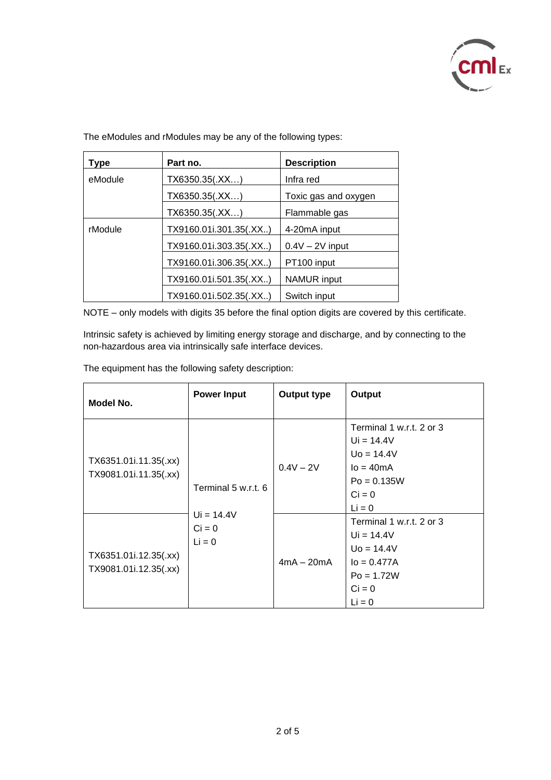

The eModules and rModules may be any of the following types:

| <b>Type</b> | Part no.               | <b>Description</b>   |
|-------------|------------------------|----------------------|
| eModule     | TX6350.35(.XX)         | Infra red            |
|             | TX6350.35(.XX)         | Toxic gas and oxygen |
|             | TX6350.35(.XX)         | Flammable gas        |
| rModule     | TX9160.01i.301.35(.XX) | 4-20mA input         |
|             | TX9160.01i.303.35(.XX) | $0.4V - 2V$ input    |
|             | TX9160.01i.306.35(.XX) | PT100 input          |
|             | TX9160.01i.501.35(.XX) | <b>NAMUR</b> input   |
|             | TX9160.01i.502.35(.XX) | Switch input         |

NOTE – only models with digits 35 before the final option digits are covered by this certificate.

Intrinsic safety is achieved by limiting energy storage and discharge, and by connecting to the non-hazardous area via intrinsically safe interface devices.

The equipment has the following safety description:

| Model No.                                      | <b>Power Input</b>                                          | <b>Output type</b> | Output                                                                                                              |
|------------------------------------------------|-------------------------------------------------------------|--------------------|---------------------------------------------------------------------------------------------------------------------|
| TX6351.01i.11.35(.xx)<br>TX9081.01i.11.35(.xx) | Terminal 5 w.r.t. 6<br>$Ui = 14.4V$<br>$Ci = 0$<br>$Li = 0$ | $0.4V - 2V$        | Terminal 1 w.r.t. 2 or 3<br>$Ui = 14.4V$<br>$U_0 = 14.4V$<br>$I_0 = 40mA$<br>$Po = 0.135W$<br>$Ci = 0$<br>$Li = 0$  |
| TX6351.01i.12.35(.xx)<br>TX9081.01i.12.35(.xx) |                                                             | $4mA - 20mA$       | Terminal 1 w.r.t. 2 or 3<br>$Ui = 14.4V$<br>$U_0 = 14.4V$<br>$I_0 = 0.477A$<br>$Po = 1.72W$<br>$Ci = 0$<br>$Li = 0$ |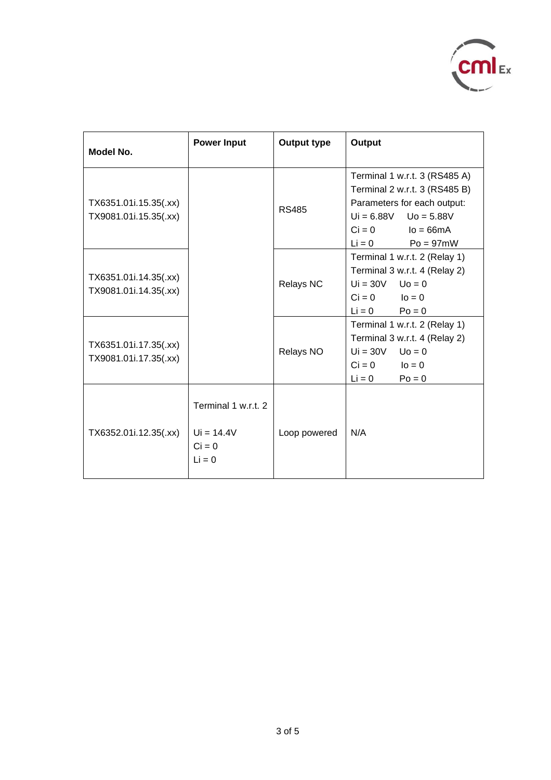

| Model No.                                      | <b>Power Input</b>                                          | <b>Output type</b> | Output                                                                                                                                                                   |
|------------------------------------------------|-------------------------------------------------------------|--------------------|--------------------------------------------------------------------------------------------------------------------------------------------------------------------------|
| TX6351.01i.15.35(.xx)<br>TX9081.01i.15.35(.xx) |                                                             | <b>RS485</b>       | Terminal 1 w.r.t. 3 (RS485 A)<br>Terminal 2 w.r.t. 3 (RS485 B)<br>Parameters for each output:<br>$Ui = 6.88V$ $Uo = 5.88V$<br>$Ci = 0$ $Io = 66mA$<br>$Li = 0$ Po = 97mW |
| TX6351.01i.14.35(.xx)<br>TX9081.01i.14.35(.xx) |                                                             | Relays NC          | Terminal 1 w.r.t. 2 (Relay 1)<br>Terminal 3 w.r.t. 4 (Relay 2)<br>$Ui = 30V$ $Uo = 0$<br>$Ci = 0$ $IQ = 0$<br>$Li = 0$<br>$Po = 0$                                       |
| TX6351.01i.17.35(.xx)<br>TX9081.01i.17.35(.xx) |                                                             | Relays NO          | Terminal 1 w.r.t. 2 (Relay 1)<br>Terminal 3 w.r.t. 4 (Relay 2)<br>$Ui = 30V$ $Uo = 0$<br>$Ci = 0$ $Io = 0$<br>$Li = 0$<br>$Po = 0$                                       |
| TX6352.01i.12.35(.xx)                          | Terminal 1 w.r.t. 2<br>$Ui = 14.4V$<br>$Ci = 0$<br>$Li = 0$ | Loop powered       | N/A                                                                                                                                                                      |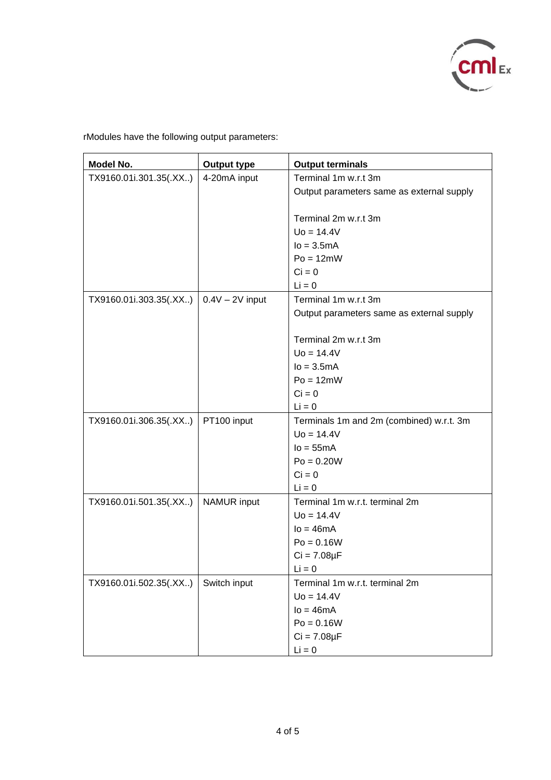

rModules have the following output parameters:

| Model No.              | <b>Output type</b> | <b>Output terminals</b>                   |  |
|------------------------|--------------------|-------------------------------------------|--|
| TX9160.01i.301.35(.XX) | 4-20mA input       | Terminal 1m w.r.t 3m                      |  |
|                        |                    | Output parameters same as external supply |  |
|                        |                    |                                           |  |
|                        |                    | Terminal 2m w.r.t 3m                      |  |
|                        |                    | $Uo = 14.4V$                              |  |
|                        |                    | $lo = 3.5mA$                              |  |
|                        |                    | $Po = 12mW$                               |  |
|                        |                    | $Ci = 0$                                  |  |
|                        |                    | $Li = 0$                                  |  |
| TX9160.01i.303.35(.XX) | $0.4V - 2V$ input  | Terminal 1m w.r.t 3m                      |  |
|                        |                    | Output parameters same as external supply |  |
|                        |                    |                                           |  |
|                        |                    | Terminal 2m w.r.t 3m                      |  |
|                        |                    | $U_0 = 14.4V$                             |  |
|                        |                    | $lo = 3.5mA$                              |  |
|                        |                    | $Po = 12mW$                               |  |
|                        |                    | $Ci = 0$                                  |  |
|                        |                    | $Li = 0$                                  |  |
| TX9160.01i.306.35(.XX) | PT100 input        | Terminals 1m and 2m (combined) w.r.t. 3m  |  |
|                        |                    | $Uo = 14.4V$                              |  |
|                        |                    | $Io = 55mA$                               |  |
|                        |                    | $Po = 0.20W$                              |  |
|                        |                    | $Ci = 0$                                  |  |
|                        |                    | $Li = 0$                                  |  |
| TX9160.01i.501.35(.XX) | <b>NAMUR</b> input | Terminal 1m w.r.t. terminal 2m            |  |
|                        |                    | $Uo = 14.4V$                              |  |
|                        |                    | $Io = 46mA$                               |  |
|                        |                    | $Po = 0.16W$                              |  |
|                        |                    | $Ci = 7.08 \mu F$                         |  |
|                        |                    | $Li = 0$                                  |  |
| TX9160.01i.502.35(.XX) | Switch input       | Terminal 1m w.r.t. terminal 2m            |  |
|                        |                    | $Uo = 14.4V$                              |  |
|                        |                    | $Io = 46mA$                               |  |
|                        |                    | $Po = 0.16W$                              |  |
|                        |                    | $Ci = 7.08\mu F$                          |  |
|                        |                    | $Li = 0$                                  |  |